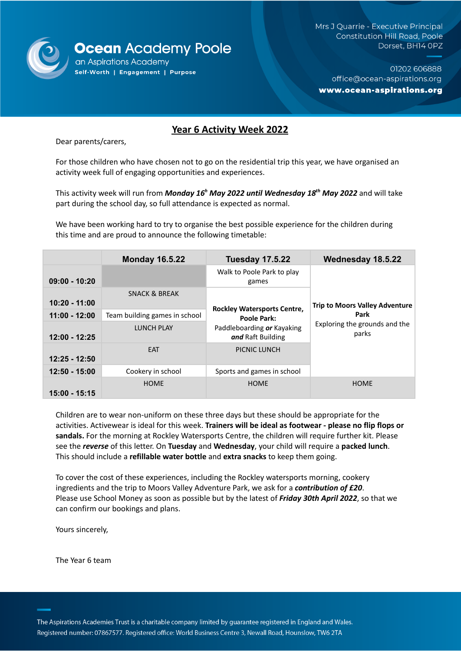

Mrs J Quarrie - Executive Principal Constitution Hill Road, Poole Dorset, BH14 OPZ

01202 606888 office@ocean-aspirations.org www.ocean-aspirations.org

# **Year 6 Activity Week 2022**

Dear parents/carers,

For those children who have chosen not to go on the residential trip this year, we have organised an activity week full of engaging opportunities and experiences.

This activity week will run from *Monday 16 <sup>h</sup> May 2022 until Wednesday 18 th May 2022* and will take part during the school day, so full attendance is expected as normal.

We have been working hard to try to organise the best possible experience for the children during this time and are proud to announce the following timetable:

|                 | <b>Monday 16.5.22</b>         | <b>Tuesday 17.5.22</b>                                                                               | Wednesday 18.5.22                                                                       |
|-----------------|-------------------------------|------------------------------------------------------------------------------------------------------|-----------------------------------------------------------------------------------------|
| $09:00 - 10:20$ |                               | Walk to Poole Park to play<br>games                                                                  |                                                                                         |
| 10:20 - 11:00   | <b>SNACK &amp; BREAK</b>      | <b>Rockley Watersports Centre,</b><br>Poole Park:<br>Paddleboarding or Kayaking<br>and Raft Building | <b>Trip to Moors Valley Adventure</b><br>Park<br>Exploring the grounds and the<br>parks |
| $11:00 - 12:00$ | Team building games in school |                                                                                                      |                                                                                         |
| $12:00 - 12:25$ | <b>LUNCH PLAY</b>             |                                                                                                      |                                                                                         |
| $12:25 - 12:50$ | <b>FAT</b>                    | PICNIC LUNCH                                                                                         |                                                                                         |
| 12:50 - 15:00   | Cookery in school             | Sports and games in school                                                                           |                                                                                         |
| 15:00 - 15:15   | <b>HOME</b>                   | <b>HOME</b>                                                                                          | <b>HOME</b>                                                                             |

Children are to wear non-uniform on these three days but these should be appropriate for the activities. Activewear is ideal for this week. **Trainers will be ideal as footwear - please no flip flops or sandals.** For the morning at Rockley Watersports Centre, the children will require further kit. Please see the *reverse* of this letter. On **Tuesday** and **Wednesday**, your child will require a **packed lunch**. This should include a **refillable water bottle** and **extra snacks** to keep them going.

To cover the cost of these experiences, including the Rockley watersports morning, cookery ingredients and the trip to Moors Valley Adventure Park, we ask for a *contribution of £20*. Please use School Money as soon as possible but by the latest of *Friday 30th April 2022*, so that we can confirm our bookings and plans.

Yours sincerely,

The Year 6 team

The Aspirations Academies Trust is a charitable company limited by guarantee registered in England and Wales. Registered number: 07867577. Registered office: World Business Centre 3, Newall Road, Hounslow, TW6 2TA